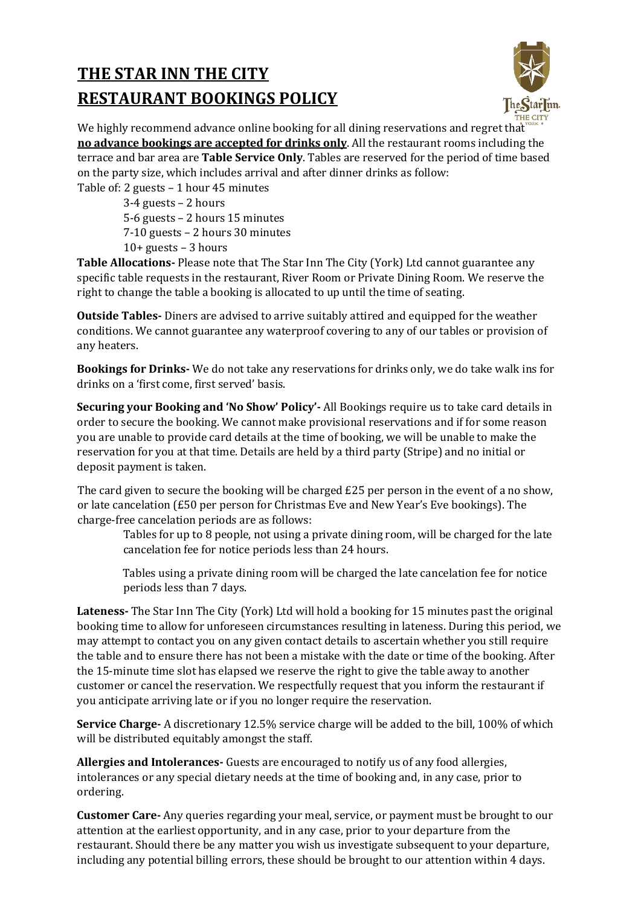## **THE STAR INN THE CITY RESTAURANT BOOKINGS POLICY**



We highly recommend advance online booking for all dining reservations and regret that **no advance bookings are accepted for drinks only**. All the restaurant rooms including the terrace and bar area are **Table Service Only**. Tables are reserved for the period of time based on the party size, which includes arrival and after dinner drinks as follow:

Table of: 2 guests – 1 hour 45 minutes

3-4 guests – 2 hours 5-6 guests – 2 hours 15 minutes 7-10 guests – 2 hours 30 minutes  $10+$  guests  $-3$  hours

**Table Allocations-** Please note that The Star Inn The City (York) Ltd cannot guarantee any specific table requests in the restaurant, River Room or Private Dining Room. We reserve the right to change the table a booking is allocated to up until the time of seating.

**Outside Tables-** Diners are advised to arrive suitably attired and equipped for the weather conditions. We cannot guarantee any waterproof covering to any of our tables or provision of any heaters.

**Bookings for Drinks-** We do not take any reservations for drinks only, we do take walk ins for drinks on a 'first come, first served' basis.

**Securing your Booking and 'No Show' Policy'-** All Bookings require us to take card details in order to secure the booking. We cannot make provisional reservations and if for some reason you are unable to provide card details at the time of booking, we will be unable to make the reservation for you at that time. Details are held by a third party (Stripe) and no initial or deposit payment is taken.

The card given to secure the booking will be charged £25 per person in the event of a no show, or late cancelation (£50 per person for Christmas Eve and New Year's Eve bookings). The charge-free cancelation periods are as follows:

Tables for up to 8 people, not using a private dining room, will be charged for the late cancelation fee for notice periods less than 24 hours.

Tables using a private dining room will be charged the late cancelation fee for notice periods less than 7 days.

**Lateness-** The Star Inn The City (York) Ltd will hold a booking for 15 minutes past the original booking time to allow for unforeseen circumstances resulting in lateness. During this period, we may attempt to contact you on any given contact details to ascertain whether you still require the table and to ensure there has not been a mistake with the date or time of the booking. After the 15-minute time slot has elapsed we reserve the right to give the table away to another customer or cancel the reservation. We respectfully request that you inform the restaurant if you anticipate arriving late or if you no longer require the reservation.

**Service Charge-** A discretionary 12.5% service charge will be added to the bill, 100% of which will be distributed equitably amongst the staff.

**Allergies and Intolerances-** Guests are encouraged to notify us of any food allergies, intolerances or any special dietary needs at the time of booking and, in any case, prior to ordering.

**Customer Care-** Any queries regarding your meal, service, or payment must be brought to our attention at the earliest opportunity, and in any case, prior to your departure from the restaurant. Should there be any matter you wish us investigate subsequent to your departure, including any potential billing errors, these should be brought to our attention within 4 days.